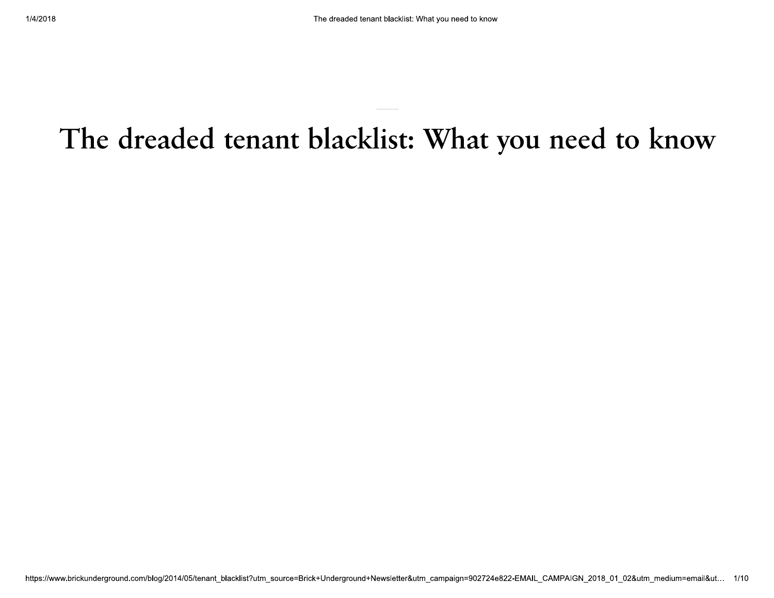# The dreaded tenant blacklist: What you need to know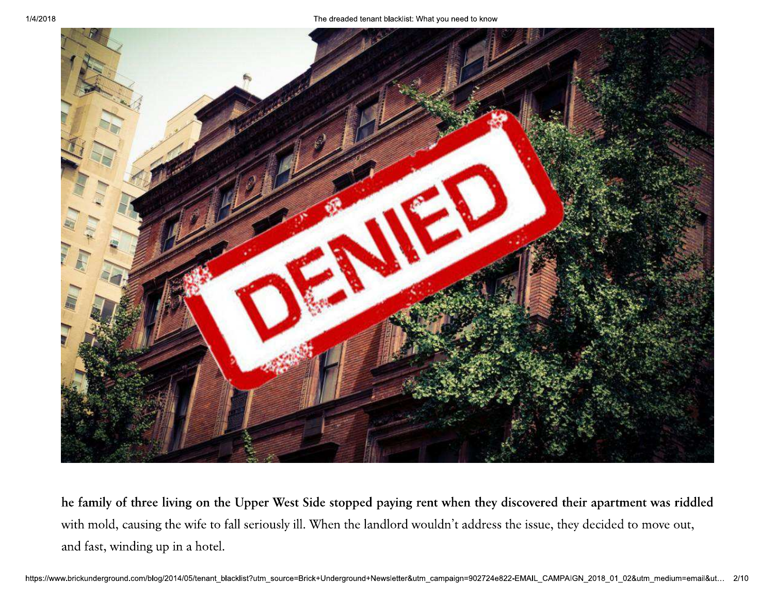

he family of three living on the Upper West Side stopped paying rent when they discovered their apartment was riddled with mold, causing the wife to fall seriously ill. When the landlord wouldn't address the issue, they decided to move out, and fast, winding up in a hotel.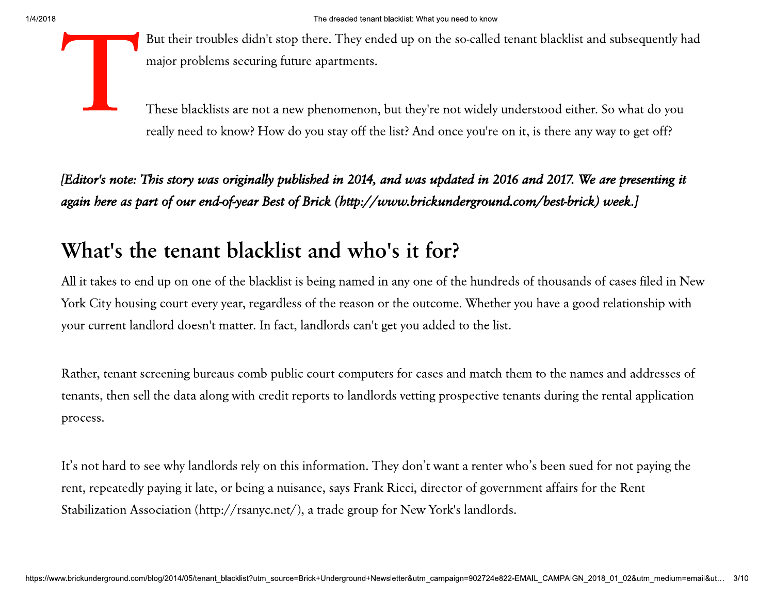But their troubles didn't stop there. They ended up on the so-called tenant blacklist and subsequently had major problems securing future apartments.

These blacklists are not a new phenomenon, but they're not widely understood either. So what do you really need to know? How do you stay off the list? And once you're on it, is there any way to get off?

[Editor's note: This story was originally published in 2014, and was updated in 2016 and 2017. We are presenting it again here as part of our end-of-year Best of Brick (http://www.brickunderground.com/best-brick) week.]

# What's the tenant blacklist and who's it for?

All it takes to end up on one of the blacklist is being named in any one of the hundreds of thousands of cases filed in New York City housing court every year, regardless of the reason or the outcome. Whether you have a good relationship with your current landlord doesn't matter. In fact, landlords can't get you added to the list.

Rather, tenant screening bureaus comb public court computers for cases and match them to the names and addresses of tenants, then sell the data along with credit reports to landlords vetting prospective tenants during the rental application process.

It's not hard to see why landlords rely on this information. They don't want a renter who's been sued for not paying the rent, repeatedly paying it late, or being a nuisance, says Frank Ricci, director of government affairs for the Rent Stabilization Association (http://rsanyc.net/), a trade group for New York's landlords.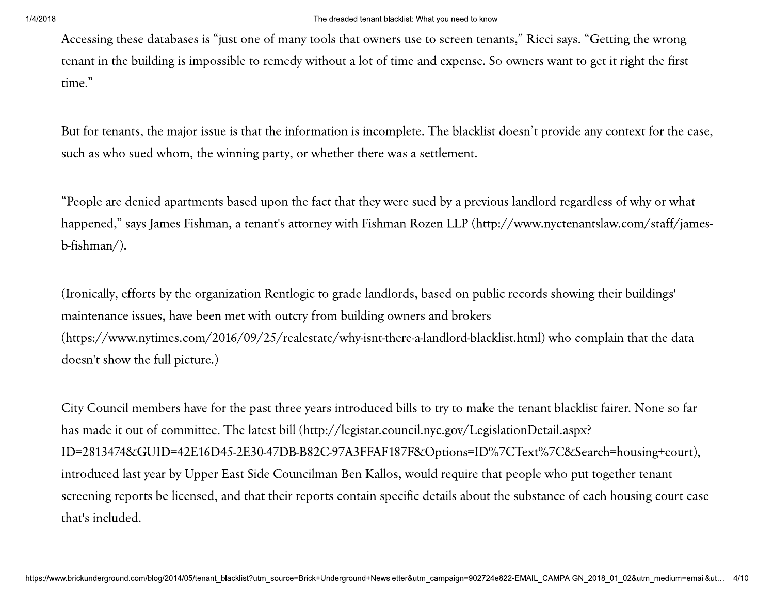Accessing these databases is "just one of many tools that owners use to screen tenants," Ricci says. "Getting the wrong tenant in the building is impossible to remedy without a lot of time and expense. So owners want to get it right the first time."

But for tenants, the major issue is that the information is incomplete. The blacklist doesn't provide any context for the case, such as who sued whom, the winning party, or whether there was a settlement.

"People are denied apartments based upon the fact that they were sued by a previous landlord regardless of why or what happened," says James Fishman, a tenant's attorney with Fishman Rozen LLP (http://www.nyctenantslaw.com/staff/jamesb-fishman/).

(Ironically, efforts by the organization Rentlogic to grade landlords, based on public records showing their buildings' maintenance issues, have been met with outcry from building owners and brokers (https://www.nytimes.com/2016/09/25/realestate/why-isnt-there-a-landlord-blacklist.html) who complain that the data doesn't show the full picture.)

City Council members have for the past three years introduced bills to try to make the tenant blacklist fairer. None so far has made it out of committee. The latest bill (http://legistar.council.nyc.gov/LegislationDetail.aspx? ID=2813474&GUID=42E16D45-2E30-47DB-B82C-97A3FFAF187F&Options=ID%7CText%7C&Search=housing+court), introduced last year by Upper East Side Councilman Ben Kallos, would require that people who put together tenant screening reports be licensed, and that their reports contain specific details about the substance of each housing court case that's included.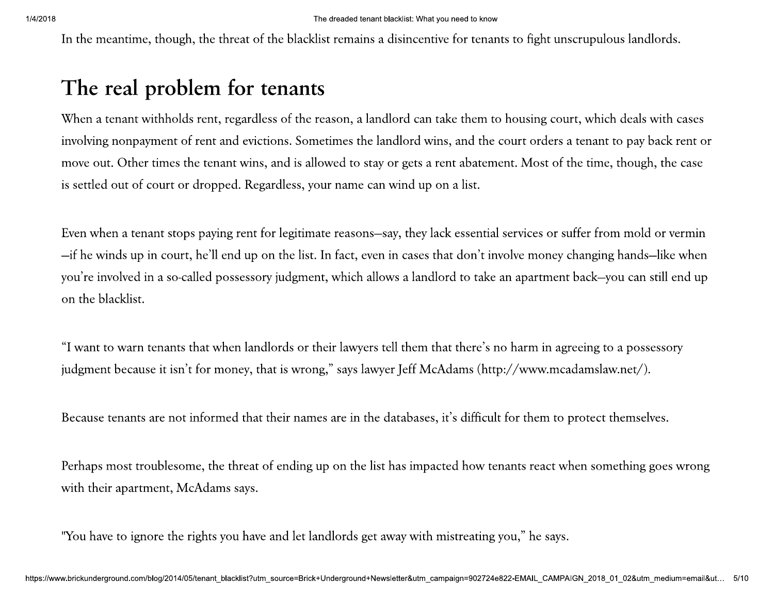The dreaded tenant blacklist: W<br>Of the blacklist remains a disince<br>**tenants** The dreaded tenant blacklist: Wha<br>he blacklist remains a disincen<br>**CHANTS** The dreaded tenant blacklist: What you need to know<br>e blacklist remains a disincentive for tenants to figl<br>**nants** acklist: What you need to know<br>disincentive for tenants to fight uns<br>

# $\frac{1}{4}$  1/4/2018<br>In the me <sup>1/4/2018</sup><br>In the meantime, though, the threat of the blacklist remains a disin<br>The real problem for tenants

The meantime, though, the threat of the blacklist remains a disincentive for tenants to fight unscrupulous landlords.<br> **The real problem for tenants**<br>
When a tenant withholds rent, regardless of the reason, a laudlord can The meaninme, though, the threat of the blacklist remains a disincentive for tentants to fight unscruptulous landlords.<br>
The real problem for tentants<br>
When a tentant withholds rent, regardless of the reason, a landlord ca

move out, Other times the tenant wins, and is allowed to stay or gats a ten abatement. Most of the time, though, the case<br>is settled out of court or dropped. Regardless, your name can wind up on a list.<br>Frem when a tenant

iudgment because it isn't for money, that is wrong," says lawyer Jeff McAdams (http://www.mcadamslaw.net/).<br>Because tenants are not informed that their names are in the databases, it's difficult for them to protect themsel

"You have to ignore t"<br>https://www.brickunderground.com/blog/20 "You have to ignore the right<br>https://www.brickunderground.com/blog/2014/05/te "You have to ignore the rights you ha<br>www.brickunderground.com/blog/2014/05/tenant\_blacklist?t ve to ignore the rights you have and let landlords get away<br>ground.com/blog/2014/05/tenant\_blacklist?utm\_source=Brick+Underground+Newsletter ve and let landlords get away with r<br>tm\_source=Brick+Underground+Newsletter&utm\_car l let landlords get away with mistreating you," he says.<br>Ele-Brick+Underground+Newsletter&utm\_campaign=902724e822-EMAIL\_CAMPA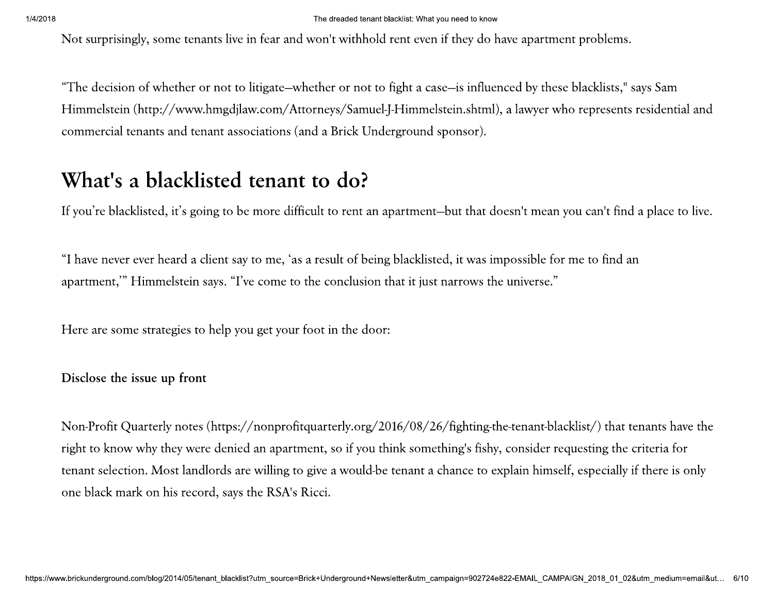Not surprisingly, some tenants live in fear and won't withhold rent even if they do have apartment problems.

"The decision of whether or not to litigate—whether or not to fight a case—is influenced by these blacklists," says Sam Himmelstein (http://www.hmgdjlaw.com/Attorneys/Samuel-J-Himmelstein.shtml), a lawyer who represents residential and commercial tenants and tenant associations (and a Brick Underground sponsor).

# What's a blacklisted tenant to do?

If you're blacklisted, it's going to be more difficult to rent an apartment-but that doesn't mean you can't find a place to live.

"I have never ever heard a client say to me, 'as a result of being blacklisted, it was impossible for me to find an apartment," Himmelstein says. "I've come to the conclusion that it just narrows the universe."

Here are some strategies to help you get your foot in the door:

Disclose the issue up front

Non-Profit Quarterly notes (https://nonprofitquarterly.org/2016/08/26/fighting-the-tenant-blacklist/) that tenants have the right to know why they were denied an apartment, so if you think something's fishy, consider requesting the criteria for tenant selection. Most landlords are willing to give a would-be tenant a chance to explain himself, especially if there is only one black mark on his record, says the RSA's Ricci.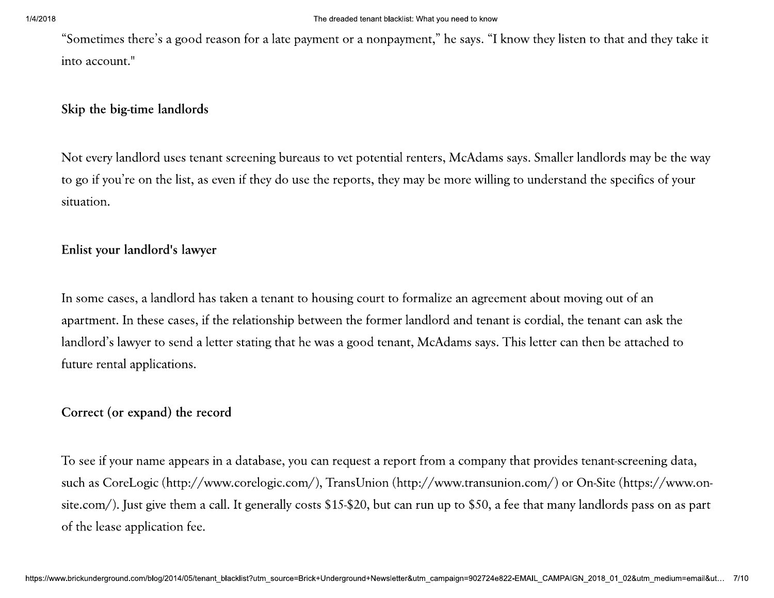"Sometimes there's a good reason for a late payment or a nonpayment," he says. "I know they listen to that and they take it into account."

### Skip the big-time landlords

Not every landlord uses tenant screening bureaus to vet potential renters, McAdams says. Smaller landlords may be the way to go if you're on the list, as even if they do use the reports, they may be more willing to understand the specifics of your situation.

## Enlist your landlord's lawyer

In some cases, a landlord has taken a tenant to housing court to formalize an agreement about moving out of an apartment. In these cases, if the relationship between the former landlord and tenant is cordial, the tenant can ask the landlord's lawyer to send a letter stating that he was a good tenant, McAdams says. This letter can then be attached to future rental applications.

### Correct (or expand) the record

To see if your name appears in a database, you can request a report from a company that provides tenant-screening data, such as CoreLogic (http://www.corelogic.com/), TransUnion (http://www.transunion.com/) or On-Site (https://www.onsite.com/). Just give them a call. It generally costs \$15-\$20, but can run up to \$50, a fee that many landlords pass on as part of the lease application fee.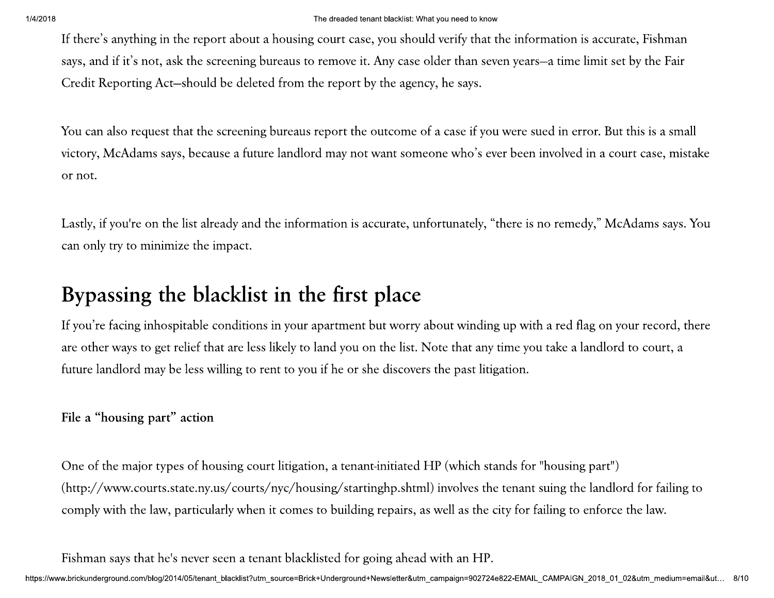<sup>1/4/2018</sup><br>If there's<br>says, and<br>Credit Re The dreaded tenant blacklis<br>If there's anything in the report about a housing court case, you sl<br>says, and if it's not, ask the screening bureaus to remove it. Any ca<br>Credit Reporting Act—should be deleted from the report The dreaded tenant blacklist: W<br>
t a housing court case, you shou<br>
; bureaus to remove it. Any case<br>
eted from the report by the agen The dreaded tenant blacklist: What<br>housing court case, you should<br>ireaus to remove it. Any case of<br>d from the report by the agency The dreaded tenant blacklist: What you need to know<br>ousing court case, you should verify that the inform<br>eaus to remove it. Any case older than seven years-<br>from the report by the agency, he says. acklist: What you need to know<br>u should verify that the informatio<br>y case older than seven years—a tin<br>e agency, he says.

The dreaded tenart Backlas: What you need to know<br>If there's anything in the report about a housing court case, you should verify that the information is accurate, Fishman<br>says, and if it's not, ask the screening bureaus t The diseased tormat blackled what blackled were years to information is accurate, Fishman says, and if it's not, ask the screening bureaus to remove it. Any case older than seven years—a time limit set by the Fair Credit R

If there's anything in the report about a bounting court case, you should verify that the information is accurate. I is<br>hound itsy, and it's is one, axis the secrecising bursts of remover it. Any case older than seven yea

omes to building repairs, as well as the city for failing<br>blacklisted for going ahead with an HP.<br><sub>Se</sub>=Brick+Underground+Newsletter&utm\_campaign=902724e822-EMAIL\_CAMPA as well as the city for failing to enforce the law.<br>ad with an HP.<br>tm\_campaign=902724e822-EMAIL\_CAMPAIGN\_2018\_01\_02&utm\_medium=email&ut... 8/1

comply with the law,<br>Fishman says that he<br>https://www.brickunderground.com/blog/20 comply with the law, partic<br>Fishman says that he's never<br>https://www.brickunderground.com/blog/2014/05/te comply with the law, particularly who<br>Fishman says that he's never seen a te<br>www.brickunderground.com/blog/2014/05/tenant\_blacklist?u with the law, particularly when it comes to building repair<br>
1 says that he's never seen a tenant blacklisted for going ah<br>
1 ground.com/blog/2014/05/tenant\_blacklist?utm\_source=Brick+Underground+Newsletter<br>
1 en it comes to building repairs, as w<br>enant blacklisted for going ahead w<br>utm\_source=Brick+Underground+Newsletter&utm\_can